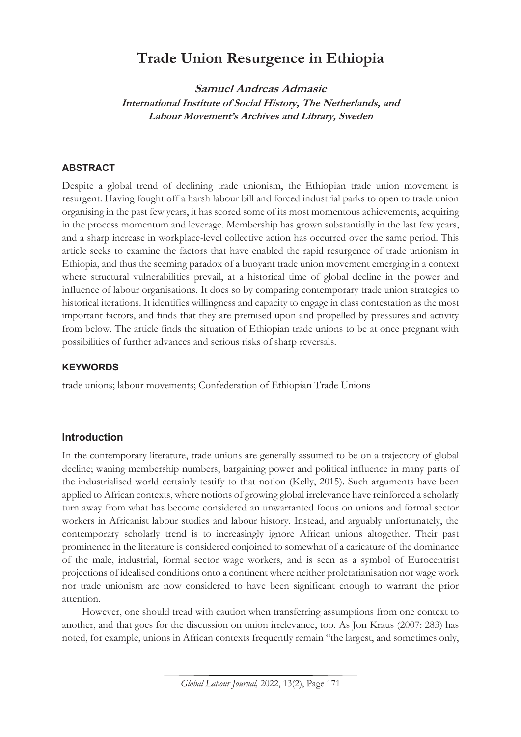# **Trade Union Resurgence in Ethiopia**

**Samuel Andreas Admasie International Institute of Social History, The Netherlands, and Labour Movement's Archives and Library, Sweden** 

## **ABSTRACT**

Despite a global trend of declining trade unionism, the Ethiopian trade union movement is resurgent. Having fought off a harsh labour bill and forced industrial parks to open to trade union organising in the past few years, it has scored some of its most momentous achievements, acquiring in the process momentum and leverage. Membership has grown substantially in the last few years, and a sharp increase in workplace-level collective action has occurred over the same period. This article seeks to examine the factors that have enabled the rapid resurgence of trade unionism in Ethiopia, and thus the seeming paradox of a buoyant trade union movement emerging in a context where structural vulnerabilities prevail, at a historical time of global decline in the power and influence of labour organisations. It does so by comparing contemporary trade union strategies to historical iterations. It identifies willingness and capacity to engage in class contestation as the most important factors, and finds that they are premised upon and propelled by pressures and activity from below. The article finds the situation of Ethiopian trade unions to be at once pregnant with possibilities of further advances and serious risks of sharp reversals.

## **KEYWORDS**

trade unions; labour movements; Confederation of Ethiopian Trade Unions

# **Introduction**

In the contemporary literature, trade unions are generally assumed to be on a trajectory of global decline; waning membership numbers, bargaining power and political influence in many parts of the industrialised world certainly testify to that notion (Kelly, 2015). Such arguments have been applied to African contexts, where notions of growing global irrelevance have reinforced a scholarly turn away from what has become considered an unwarranted focus on unions and formal sector workers in Africanist labour studies and labour history. Instead, and arguably unfortunately, the contemporary scholarly trend is to increasingly ignore African unions altogether. Their past prominence in the literature is considered conjoined to somewhat of a caricature of the dominance of the male, industrial, formal sector wage workers, and is seen as a symbol of Eurocentrist projections of idealised conditions onto a continent where neither proletarianisation nor wage work nor trade unionism are now considered to have been significant enough to warrant the prior attention.

However, one should tread with caution when transferring assumptions from one context to another, and that goes for the discussion on union irrelevance, too. As Jon Kraus (2007: 283) has noted, for example, unions in African contexts frequently remain "the largest, and sometimes only,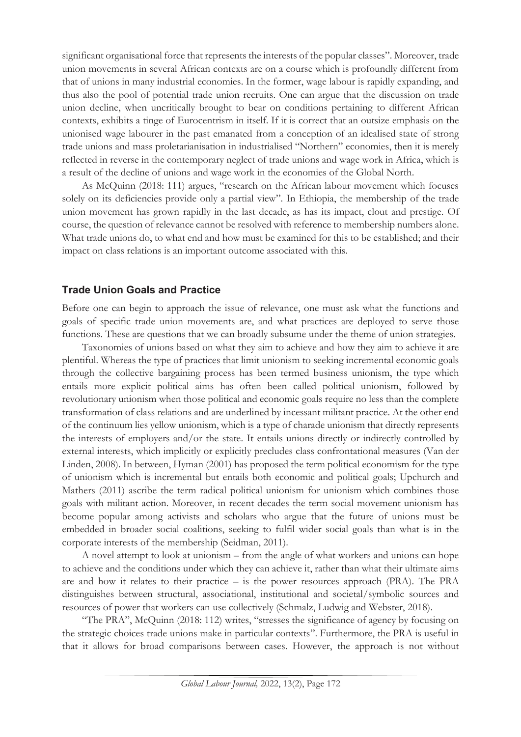significant organisational force that represents the interests of the popular classes". Moreover, trade union movements in several African contexts are on a course which is profoundly different from that of unions in many industrial economies. In the former, wage labour is rapidly expanding, and thus also the pool of potential trade union recruits. One can argue that the discussion on trade union decline, when uncritically brought to bear on conditions pertaining to different African contexts, exhibits a tinge of Eurocentrism in itself. If it is correct that an outsize emphasis on the unionised wage labourer in the past emanated from a conception of an idealised state of strong trade unions and mass proletarianisation in industrialised "Northern" economies, then it is merely reflected in reverse in the contemporary neglect of trade unions and wage work in Africa, which is a result of the decline of unions and wage work in the economies of the Global North.

As McQuinn (2018: 111) argues, "research on the African labour movement which focuses solely on its deficiencies provide only a partial view". In Ethiopia, the membership of the trade union movement has grown rapidly in the last decade, as has its impact, clout and prestige. Of course, the question of relevance cannot be resolved with reference to membership numbers alone. What trade unions do, to what end and how must be examined for this to be established; and their impact on class relations is an important outcome associated with this.

### **Trade Union Goals and Practice**

Before one can begin to approach the issue of relevance, one must ask what the functions and goals of specific trade union movements are, and what practices are deployed to serve those functions. These are questions that we can broadly subsume under the theme of union strategies.

Taxonomies of unions based on what they aim to achieve and how they aim to achieve it are plentiful. Whereas the type of practices that limit unionism to seeking incremental economic goals through the collective bargaining process has been termed business unionism, the type which entails more explicit political aims has often been called political unionism, followed by revolutionary unionism when those political and economic goals require no less than the complete transformation of class relations and are underlined by incessant militant practice. At the other end of the continuum lies yellow unionism, which is a type of charade unionism that directly represents the interests of employers and/or the state. It entails unions directly or indirectly controlled by external interests, which implicitly or explicitly precludes class confrontational measures (Van der Linden, 2008). In between, Hyman (2001) has proposed the term political economism for the type of unionism which is incremental but entails both economic and political goals; Upchurch and Mathers (2011) ascribe the term radical political unionism for unionism which combines those goals with militant action. Moreover, in recent decades the term social movement unionism has become popular among activists and scholars who argue that the future of unions must be embedded in broader social coalitions, seeking to fulfil wider social goals than what is in the corporate interests of the membership (Seidman, 2011).

A novel attempt to look at unionism – from the angle of what workers and unions can hope to achieve and the conditions under which they can achieve it, rather than what their ultimate aims are and how it relates to their practice – is the power resources approach (PRA). The PRA distinguishes between structural, associational, institutional and societal/symbolic sources and resources of power that workers can use collectively (Schmalz, Ludwig and Webster, 2018).

"The PRA", McQuinn (2018: 112) writes, "stresses the significance of agency by focusing on the strategic choices trade unions make in particular contexts". Furthermore, the PRA is useful in that it allows for broad comparisons between cases. However, the approach is not without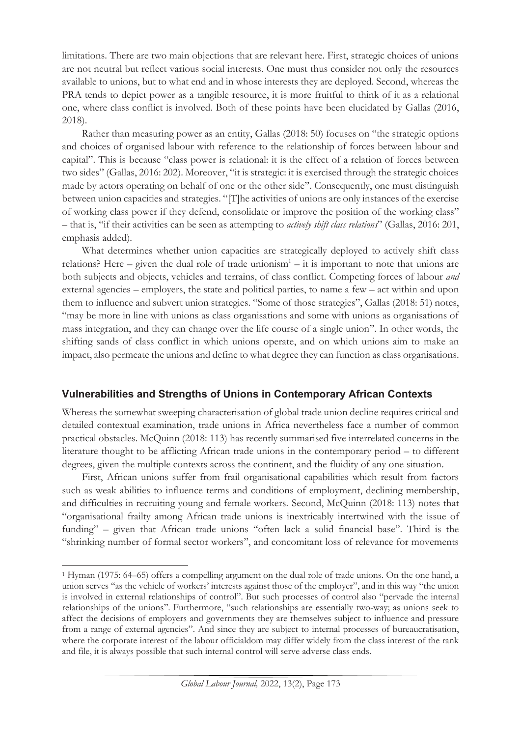limitations. There are two main objections that are relevant here. First, strategic choices of unions are not neutral but reflect various social interests. One must thus consider not only the resources available to unions, but to what end and in whose interests they are deployed. Second, whereas the PRA tends to depict power as a tangible resource, it is more fruitful to think of it as a relational one, where class conflict is involved. Both of these points have been elucidated by Gallas (2016, 2018).

Rather than measuring power as an entity, Gallas (2018: 50) focuses on "the strategic options and choices of organised labour with reference to the relationship of forces between labour and capital". This is because "class power is relational: it is the effect of a relation of forces between two sides" (Gallas, 2016: 202). Moreover, "it is strategic: it is exercised through the strategic choices made by actors operating on behalf of one or the other side". Consequently, one must distinguish between union capacities and strategies. "[T]he activities of unions are only instances of the exercise of working class power if they defend, consolidate or improve the position of the working class" – that is, "if their activities can be seen as attempting to *actively shift class relations*" (Gallas, 2016: 201, emphasis added).

What determines whether union capacities are strategically deployed to actively shift class relations? Here – given the dual role of trade unionism<sup>1</sup> – it is important to note that unions are both subjects and objects, vehicles and terrains, of class conflict. Competing forces of labour *and*  external agencies – employers, the state and political parties, to name a few – act within and upon them to influence and subvert union strategies. "Some of those strategies", Gallas (2018: 51) notes, "may be more in line with unions as class organisations and some with unions as organisations of mass integration, and they can change over the life course of a single union". In other words, the shifting sands of class conflict in which unions operate, and on which unions aim to make an impact, also permeate the unions and define to what degree they can function as class organisations.

# **Vulnerabilities and Strengths of Unions in Contemporary African Contexts**

Whereas the somewhat sweeping characterisation of global trade union decline requires critical and detailed contextual examination, trade unions in Africa nevertheless face a number of common practical obstacles. McQuinn (2018: 113) has recently summarised five interrelated concerns in the literature thought to be afflicting African trade unions in the contemporary period – to different degrees, given the multiple contexts across the continent, and the fluidity of any one situation.

First, African unions suffer from frail organisational capabilities which result from factors such as weak abilities to influence terms and conditions of employment, declining membership, and difficulties in recruiting young and female workers. Second, McQuinn (2018: 113) notes that "organisational frailty among African trade unions is inextricably intertwined with the issue of funding" – given that African trade unions "often lack a solid financial base". Third is the "shrinking number of formal sector workers", and concomitant loss of relevance for movements

<sup>1</sup> Hyman (1975: 64–65) offers a compelling argument on the dual role of trade unions. On the one hand, a union serves "as the vehicle of workers' interests against those of the employer", and in this way "the union is involved in external relationships of control". But such processes of control also "pervade the internal relationships of the unions". Furthermore, "such relationships are essentially two-way; as unions seek to affect the decisions of employers and governments they are themselves subject to influence and pressure from a range of external agencies". And since they are subject to internal processes of bureaucratisation, where the corporate interest of the labour officialdom may differ widely from the class interest of the rank and file, it is always possible that such internal control will serve adverse class ends.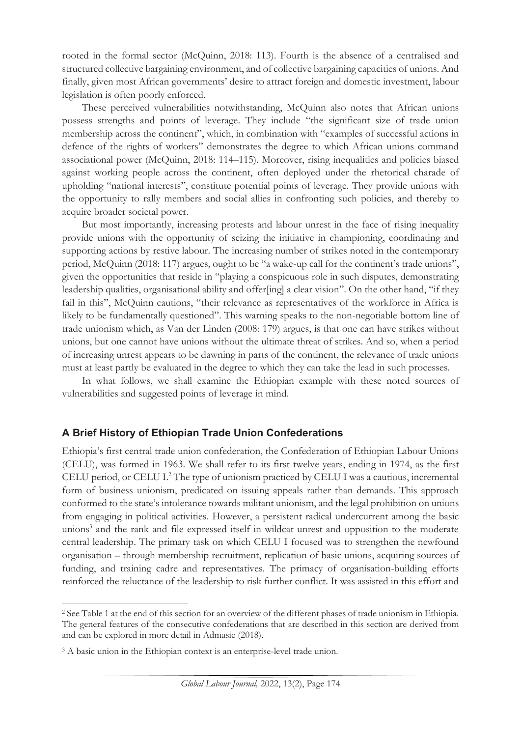rooted in the formal sector (McQuinn, 2018: 113). Fourth is the absence of a centralised and structured collective bargaining environment, and of collective bargaining capacities of unions. And finally, given most African governments' desire to attract foreign and domestic investment, labour legislation is often poorly enforced.

These perceived vulnerabilities notwithstanding, McQuinn also notes that African unions possess strengths and points of leverage. They include "the significant size of trade union membership across the continent", which, in combination with "examples of successful actions in defence of the rights of workers" demonstrates the degree to which African unions command associational power (McQuinn, 2018: 114–115). Moreover, rising inequalities and policies biased against working people across the continent, often deployed under the rhetorical charade of upholding "national interests", constitute potential points of leverage. They provide unions with the opportunity to rally members and social allies in confronting such policies, and thereby to acquire broader societal power.

But most importantly, increasing protests and labour unrest in the face of rising inequality provide unions with the opportunity of seizing the initiative in championing, coordinating and supporting actions by restive labour. The increasing number of strikes noted in the contemporary period, McQuinn (2018: 117) argues, ought to be "a wake-up call for the continent's trade unions", given the opportunities that reside in "playing a conspicuous role in such disputes, demonstrating leadership qualities, organisational ability and offer[ing] a clear vision". On the other hand, "if they fail in this", McQuinn cautions, "their relevance as representatives of the workforce in Africa is likely to be fundamentally questioned". This warning speaks to the non-negotiable bottom line of trade unionism which, as Van der Linden (2008: 179) argues, is that one can have strikes without unions, but one cannot have unions without the ultimate threat of strikes. And so, when a period of increasing unrest appears to be dawning in parts of the continent, the relevance of trade unions must at least partly be evaluated in the degree to which they can take the lead in such processes.

In what follows, we shall examine the Ethiopian example with these noted sources of vulnerabilities and suggested points of leverage in mind.

# **A Brief History of Ethiopian Trade Union Confederations**

Ethiopia's first central trade union confederation, the Confederation of Ethiopian Labour Unions (CELU), was formed in 1963. We shall refer to its first twelve years, ending in 1974, as the first CELU period, or CELU I.<sup>2</sup> The type of unionism practiced by CELU I was a cautious, incremental form of business unionism, predicated on issuing appeals rather than demands. This approach conformed to the state's intolerance towards militant unionism, and the legal prohibition on unions from engaging in political activities. However, a persistent radical undercurrent among the basic unions<sup>3</sup> and the rank and file expressed itself in wildcat unrest and opposition to the moderate central leadership. The primary task on which CELU I focused was to strengthen the newfound organisation – through membership recruitment, replication of basic unions, acquiring sources of funding, and training cadre and representatives. The primacy of organisation-building efforts reinforced the reluctance of the leadership to risk further conflict. It was assisted in this effort and

<sup>2</sup> See Table 1 at the end of this section for an overview of the different phases of trade unionism in Ethiopia. The general features of the consecutive confederations that are described in this section are derived from and can be explored in more detail in Admasie (2018).

<sup>&</sup>lt;sup>3</sup> A basic union in the Ethiopian context is an enterprise-level trade union.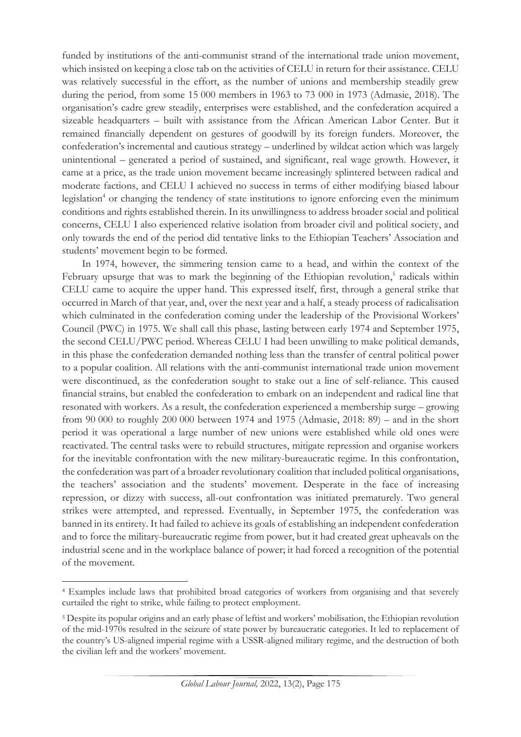funded by institutions of the anti-communist strand of the international trade union movement, which insisted on keeping a close tab on the activities of CELU in return for their assistance. CELU was relatively successful in the effort, as the number of unions and membership steadily grew during the period, from some 15 000 members in 1963 to 73 000 in 1973 (Admasie, 2018). The organisation's cadre grew steadily, enterprises were established, and the confederation acquired a sizeable headquarters – built with assistance from the African American Labor Center. But it remained financially dependent on gestures of goodwill by its foreign funders. Moreover, the confederation's incremental and cautious strategy – underlined by wildcat action which was largely unintentional – generated a period of sustained, and significant, real wage growth. However, it came at a price, as the trade union movement became increasingly splintered between radical and moderate factions, and CELU I achieved no success in terms of either modifying biased labour legislation<sup>4</sup> or changing the tendency of state institutions to ignore enforcing even the minimum conditions and rights established therein. In its unwillingness to address broader social and political concerns, CELU I also experienced relative isolation from broader civil and political society, and only towards the end of the period did tentative links to the Ethiopian Teachers' Association and students' movement begin to be formed.

In 1974, however, the simmering tension came to a head, and within the context of the February upsurge that was to mark the beginning of the Ethiopian revolution, $5$  radicals within CELU came to acquire the upper hand. This expressed itself, first, through a general strike that occurred in March of that year, and, over the next year and a half, a steady process of radicalisation which culminated in the confederation coming under the leadership of the Provisional Workers' Council (PWC) in 1975. We shall call this phase, lasting between early 1974 and September 1975, the second CELU/PWC period. Whereas CELU I had been unwilling to make political demands, in this phase the confederation demanded nothing less than the transfer of central political power to a popular coalition. All relations with the anti-communist international trade union movement were discontinued, as the confederation sought to stake out a line of self-reliance. This caused financial strains, but enabled the confederation to embark on an independent and radical line that resonated with workers. As a result, the confederation experienced a membership surge – growing from 90 000 to roughly 200 000 between 1974 and 1975 (Admasie, 2018: 89) – and in the short period it was operational a large number of new unions were established while old ones were reactivated. The central tasks were to rebuild structures, mitigate repression and organise workers for the inevitable confrontation with the new military-bureaucratic regime. In this confrontation, the confederation was part of a broader revolutionary coalition that included political organisations, the teachers' association and the students' movement. Desperate in the face of increasing repression, or dizzy with success, all-out confrontation was initiated prematurely. Two general strikes were attempted, and repressed. Eventually, in September 1975, the confederation was banned in its entirety. It had failed to achieve its goals of establishing an independent confederation and to force the military-bureaucratic regime from power, but it had created great upheavals on the industrial scene and in the workplace balance of power; it had forced a recognition of the potential of the movement.

<sup>4</sup> Examples include laws that prohibited broad categories of workers from organising and that severely curtailed the right to strike, while failing to protect employment.

<sup>5</sup> Despite its popular origins and an early phase of leftist and workers' mobilisation, the Ethiopian revolution of the mid-1970s resulted in the seizure of state power by bureaucratic categories. It led to replacement of the country's US-aligned imperial regime with a USSR-aligned military regime, and the destruction of both the civilian left and the workers' movement.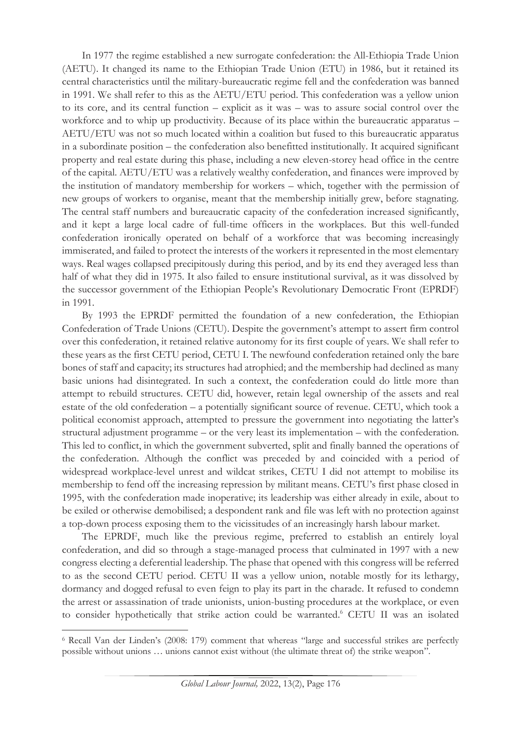In 1977 the regime established a new surrogate confederation: the All-Ethiopia Trade Union (AETU). It changed its name to the Ethiopian Trade Union (ETU) in 1986, but it retained its central characteristics until the military-bureaucratic regime fell and the confederation was banned in 1991. We shall refer to this as the AETU/ETU period. This confederation was a yellow union to its core, and its central function – explicit as it was – was to assure social control over the workforce and to whip up productivity. Because of its place within the bureaucratic apparatus – AETU/ETU was not so much located within a coalition but fused to this bureaucratic apparatus in a subordinate position – the confederation also benefitted institutionally. It acquired significant property and real estate during this phase, including a new eleven-storey head office in the centre of the capital. AETU/ETU was a relatively wealthy confederation, and finances were improved by the institution of mandatory membership for workers – which, together with the permission of new groups of workers to organise, meant that the membership initially grew, before stagnating. The central staff numbers and bureaucratic capacity of the confederation increased significantly, and it kept a large local cadre of full-time officers in the workplaces. But this well-funded confederation ironically operated on behalf of a workforce that was becoming increasingly immiserated, and failed to protect the interests of the workers it represented in the most elementary ways. Real wages collapsed precipitously during this period, and by its end they averaged less than half of what they did in 1975. It also failed to ensure institutional survival, as it was dissolved by the successor government of the Ethiopian People's Revolutionary Democratic Front (EPRDF) in 1991.

By 1993 the EPRDF permitted the foundation of a new confederation, the Ethiopian Confederation of Trade Unions (CETU). Despite the government's attempt to assert firm control over this confederation, it retained relative autonomy for its first couple of years. We shall refer to these years as the first CETU period, CETU I. The newfound confederation retained only the bare bones of staff and capacity; its structures had atrophied; and the membership had declined as many basic unions had disintegrated. In such a context, the confederation could do little more than attempt to rebuild structures. CETU did, however, retain legal ownership of the assets and real estate of the old confederation – a potentially significant source of revenue. CETU, which took a political economist approach, attempted to pressure the government into negotiating the latter's structural adjustment programme – or the very least its implementation – with the confederation. This led to conflict, in which the government subverted, split and finally banned the operations of the confederation. Although the conflict was preceded by and coincided with a period of widespread workplace-level unrest and wildcat strikes, CETU I did not attempt to mobilise its membership to fend off the increasing repression by militant means. CETU's first phase closed in 1995, with the confederation made inoperative; its leadership was either already in exile, about to be exiled or otherwise demobilised; a despondent rank and file was left with no protection against a top-down process exposing them to the vicissitudes of an increasingly harsh labour market.

The EPRDF, much like the previous regime, preferred to establish an entirely loyal confederation, and did so through a stage-managed process that culminated in 1997 with a new congress electing a deferential leadership. The phase that opened with this congress will be referred to as the second CETU period. CETU II was a yellow union, notable mostly for its lethargy, dormancy and dogged refusal to even feign to play its part in the charade. It refused to condemn the arrest or assassination of trade unionists, union-busting procedures at the workplace, or even to consider hypothetically that strike action could be warranted.<sup>6</sup> CETU II was an isolated

<sup>6</sup> Recall Van der Linden's (2008: 179) comment that whereas "large and successful strikes are perfectly possible without unions … unions cannot exist without (the ultimate threat of) the strike weapon".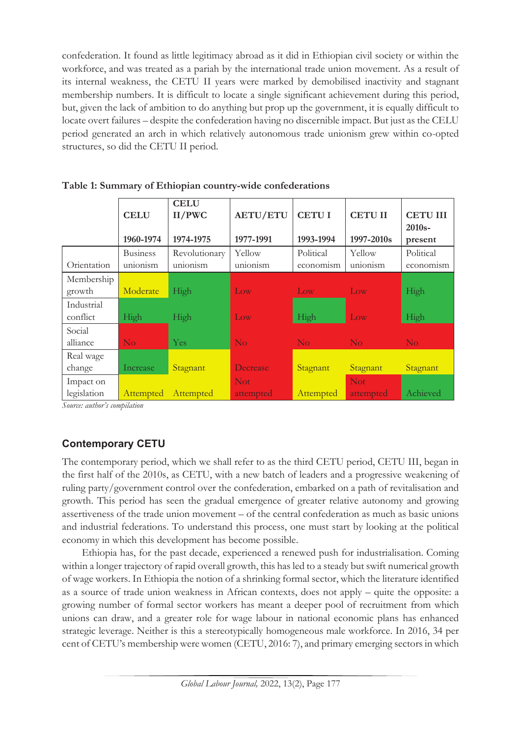confederation. It found as little legitimacy abroad as it did in Ethiopian civil society or within the workforce, and was treated as a pariah by the international trade union movement. As a result of its internal weakness, the CETU II years were marked by demobilised inactivity and stagnant membership numbers. It is difficult to locate a single significant achievement during this period, but, given the lack of ambition to do anything but prop up the government, it is equally difficult to locate overt failures – despite the confederation having no discernible impact. But just as the CELU period generated an arch in which relatively autonomous trade unionism grew within co-opted structures, so did the CETU II period.

|             | <b>CELU</b>     | <b>CELU</b><br>II/PWC | <b>AETU/ETU</b> | <b>CETUI</b> | <b>CETUII</b>  | <b>CETU III</b><br>$2010s -$ |
|-------------|-----------------|-----------------------|-----------------|--------------|----------------|------------------------------|
|             | 1960-1974       | 1974-1975             | 1977-1991       | 1993-1994    | 1997-2010s     | present                      |
|             | <b>Business</b> | Revolutionary         | Yellow          | Political    | Yellow         | Political                    |
| Orientation | unionism        | unionism              | unionism        | economism    | unionism       | economism                    |
| Membership  |                 |                       |                 |              |                |                              |
| growth      | Moderate        | High                  | Low             | Low          | Low            | High                         |
| Industrial  |                 |                       |                 |              |                |                              |
| conflict    | High            | High                  | Low.            | High         | Low            | High                         |
| Social      |                 |                       |                 |              |                |                              |
| alliance    | N <sub>o</sub>  | <b>Yes</b>            | N <sub>o</sub>  | No           | N <sub>o</sub> | $\overline{N_{O}}$           |
| Real wage   |                 |                       |                 |              |                |                              |
| change      | Increase        | Stagnant              | Decrease        | Stagnant     | Stagnant       | Stagnant                     |
| Impact on   |                 |                       | <b>Not</b>      |              | <b>Not</b>     |                              |
| legislation | Attempted       | Attempted             | attempted       | Attempted    | attempted      | Achieved                     |

**Table 1: Summary of Ethiopian country-wide confederations** 

*Source: author's compilation* 

# **Contemporary CETU**

The contemporary period, which we shall refer to as the third CETU period, CETU III, began in the first half of the 2010s, as CETU, with a new batch of leaders and a progressive weakening of ruling party/government control over the confederation, embarked on a path of revitalisation and growth. This period has seen the gradual emergence of greater relative autonomy and growing assertiveness of the trade union movement – of the central confederation as much as basic unions and industrial federations. To understand this process, one must start by looking at the political economy in which this development has become possible.

Ethiopia has, for the past decade, experienced a renewed push for industrialisation. Coming within a longer trajectory of rapid overall growth, this has led to a steady but swift numerical growth of wage workers. In Ethiopia the notion of a shrinking formal sector, which the literature identified as a source of trade union weakness in African contexts, does not apply – quite the opposite: a growing number of formal sector workers has meant a deeper pool of recruitment from which unions can draw, and a greater role for wage labour in national economic plans has enhanced strategic leverage. Neither is this a stereotypically homogeneous male workforce. In 2016, 34 per cent of CETU's membership were women (CETU, 2016: 7), and primary emerging sectors in which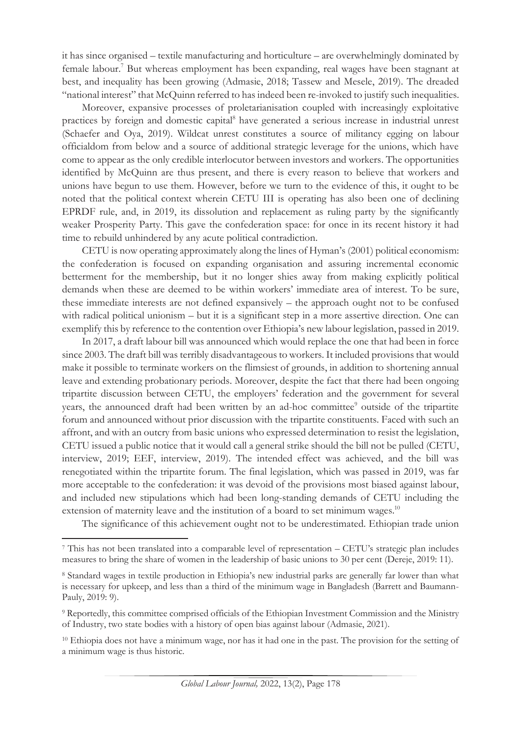it has since organised – textile manufacturing and horticulture – are overwhelmingly dominated by female labour.<sup>7</sup> But whereas employment has been expanding, real wages have been stagnant at best, and inequality has been growing (Admasie, 2018; Tassew and Mesele, 2019). The dreaded "national interest" that McQuinn referred to has indeed been re-invoked to justify such inequalities.

Moreover, expansive processes of proletarianisation coupled with increasingly exploitative practices by foreign and domestic capital<sup>8</sup> have generated a serious increase in industrial unrest (Schaefer and Oya, 2019). Wildcat unrest constitutes a source of militancy egging on labour officialdom from below and a source of additional strategic leverage for the unions, which have come to appear as the only credible interlocutor between investors and workers. The opportunities identified by McQuinn are thus present, and there is every reason to believe that workers and unions have begun to use them. However, before we turn to the evidence of this, it ought to be noted that the political context wherein CETU III is operating has also been one of declining EPRDF rule, and, in 2019, its dissolution and replacement as ruling party by the significantly weaker Prosperity Party. This gave the confederation space: for once in its recent history it had time to rebuild unhindered by any acute political contradiction.

CETU is now operating approximately along the lines of Hyman's (2001) political economism: the confederation is focused on expanding organisation and assuring incremental economic betterment for the membership, but it no longer shies away from making explicitly political demands when these are deemed to be within workers' immediate area of interest. To be sure, these immediate interests are not defined expansively – the approach ought not to be confused with radical political unionism – but it is a significant step in a more assertive direction. One can exemplify this by reference to the contention over Ethiopia's new labour legislation, passed in 2019.

In 2017, a draft labour bill was announced which would replace the one that had been in force since 2003. The draft bill was terribly disadvantageous to workers. It included provisions that would make it possible to terminate workers on the flimsiest of grounds, in addition to shortening annual leave and extending probationary periods. Moreover, despite the fact that there had been ongoing tripartite discussion between CETU, the employers' federation and the government for several years, the announced draft had been written by an ad-hoc committee<sup>9</sup> outside of the tripartite forum and announced without prior discussion with the tripartite constituents. Faced with such an affront, and with an outcry from basic unions who expressed determination to resist the legislation, CETU issued a public notice that it would call a general strike should the bill not be pulled (CETU, interview, 2019; EEF, interview, 2019). The intended effect was achieved, and the bill was renegotiated within the tripartite forum. The final legislation, which was passed in 2019, was far more acceptable to the confederation: it was devoid of the provisions most biased against labour, and included new stipulations which had been long-standing demands of CETU including the extension of maternity leave and the institution of a board to set minimum wages.<sup>10</sup>

The significance of this achievement ought not to be underestimated. Ethiopian trade union

<sup>7</sup> This has not been translated into a comparable level of representation – CETU's strategic plan includes measures to bring the share of women in the leadership of basic unions to 30 per cent (Dereje, 2019: 11).

<sup>8</sup> Standard wages in textile production in Ethiopia's new industrial parks are generally far lower than what is necessary for upkeep, and less than a third of the minimum wage in Bangladesh (Barrett and Baumann-Pauly, 2019: 9).

<sup>9</sup> Reportedly, this committee comprised officials of the Ethiopian Investment Commission and the Ministry of Industry, two state bodies with a history of open bias against labour (Admasie, 2021).

<sup>10</sup> Ethiopia does not have a minimum wage, nor has it had one in the past. The provision for the setting of a minimum wage is thus historic.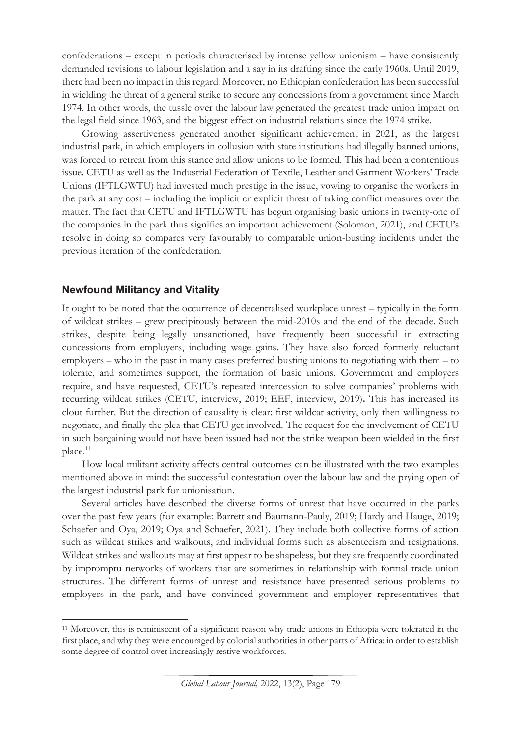confederations – except in periods characterised by intense yellow unionism – have consistently demanded revisions to labour legislation and a say in its drafting since the early 1960s. Until 2019, there had been no impact in this regard. Moreover, no Ethiopian confederation has been successful in wielding the threat of a general strike to secure any concessions from a government since March 1974. In other words, the tussle over the labour law generated the greatest trade union impact on the legal field since 1963, and the biggest effect on industrial relations since the 1974 strike.

Growing assertiveness generated another significant achievement in 2021, as the largest industrial park, in which employers in collusion with state institutions had illegally banned unions, was forced to retreat from this stance and allow unions to be formed. This had been a contentious issue. CETU as well as the Industrial Federation of Textile, Leather and Garment Workers' Trade Unions (IFTLGWTU) had invested much prestige in the issue, vowing to organise the workers in the park at any cost – including the implicit or explicit threat of taking conflict measures over the matter. The fact that CETU and IFTLGWTU has begun organising basic unions in twenty-one of the companies in the park thus signifies an important achievement (Solomon, 2021), and CETU's resolve in doing so compares very favourably to comparable union-busting incidents under the previous iteration of the confederation.

### **Newfound Militancy and Vitality**

It ought to be noted that the occurrence of decentralised workplace unrest – typically in the form of wildcat strikes – grew precipitously between the mid-2010s and the end of the decade. Such strikes, despite being legally unsanctioned, have frequently been successful in extracting concessions from employers, including wage gains. They have also forced formerly reluctant employers – who in the past in many cases preferred busting unions to negotiating with them – to tolerate, and sometimes support, the formation of basic unions. Government and employers require, and have requested, CETU's repeated intercession to solve companies' problems with recurring wildcat strikes (CETU, interview, 2019; EEF, interview, 2019)**.** This has increased its clout further. But the direction of causality is clear: first wildcat activity, only then willingness to negotiate, and finally the plea that CETU get involved. The request for the involvement of CETU in such bargaining would not have been issued had not the strike weapon been wielded in the first place.<sup>11</sup>

How local militant activity affects central outcomes can be illustrated with the two examples mentioned above in mind: the successful contestation over the labour law and the prying open of the largest industrial park for unionisation.

Several articles have described the diverse forms of unrest that have occurred in the parks over the past few years (for example: Barrett and Baumann-Pauly, 2019; Hardy and Hauge, 2019; Schaefer and Oya, 2019; Oya and Schaefer, 2021). They include both collective forms of action such as wildcat strikes and walkouts, and individual forms such as absenteeism and resignations. Wildcat strikes and walkouts may at first appear to be shapeless, but they are frequently coordinated by impromptu networks of workers that are sometimes in relationship with formal trade union structures. The different forms of unrest and resistance have presented serious problems to employers in the park, and have convinced government and employer representatives that

<sup>11</sup> Moreover, this is reminiscent of a significant reason why trade unions in Ethiopia were tolerated in the first place, and why they were encouraged by colonial authorities in other parts of Africa: in order to establish some degree of control over increasingly restive workforces.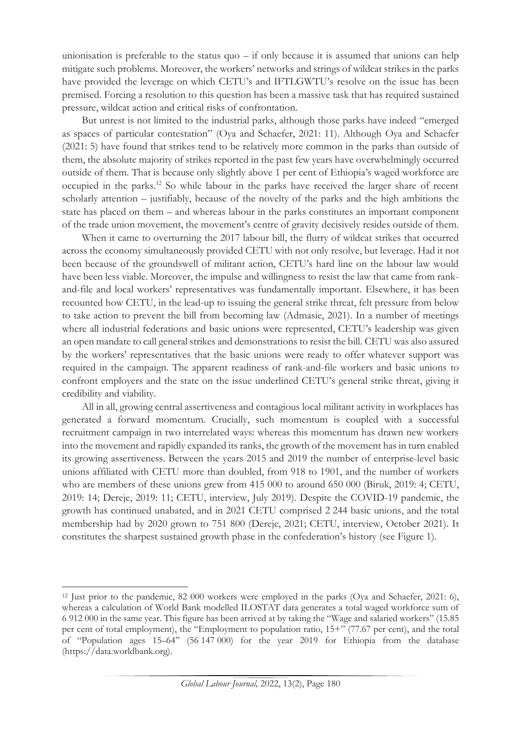unionisation is preferable to the status quo – if only because it is assumed that unions can help mitigate such problems. Moreover, the workers' networks and strings of wildcat strikes in the parks have provided the leverage on which CETU's and IFTLGWTU's resolve on the issue has been premised. Forcing a resolution to this question has been a massive task that has required sustained pressure, wildcat action and critical risks of confrontation.

But unrest is not limited to the industrial parks, although those parks have indeed "emerged as spaces of particular contestation" (Oya and Schaefer, 2021: 11). Although Oya and Schaefer (2021: 5) have found that strikes tend to be relatively more common in the parks than outside of them, the absolute majority of strikes reported in the past few years have overwhelmingly occurred outside of them. That is because only slightly above 1 per cent of Ethiopia's waged workforce are occupied in the parks.12 So while labour in the parks have received the larger share of recent scholarly attention – justifiably, because of the novelty of the parks and the high ambitions the state has placed on them – and whereas labour in the parks constitutes an important component of the trade union movement, the movement's centre of gravity decisively resides outside of them.

When it came to overturning the 2017 labour bill, the flurry of wildcat strikes that occurred across the economy simultaneously provided CETU with not only resolve, but leverage. Had it not been because of the groundswell of militant action, CETU's hard line on the labour law would have been less viable. Moreover, the impulse and willingness to resist the law that came from rankand-file and local workers' representatives was fundamentally important. Elsewhere, it has been recounted how CETU, in the lead-up to issuing the general strike threat, felt pressure from below to take action to prevent the bill from becoming law (Admasie, 2021). In a number of meetings where all industrial federations and basic unions were represented, CETU's leadership was given an open mandate to call general strikes and demonstrations to resist the bill. CETU was also assured by the workers' representatives that the basic unions were ready to offer whatever support was required in the campaign. The apparent readiness of rank-and-file workers and basic unions to confront employers and the state on the issue underlined CETU's general strike threat, giving it credibility and viability.

All in all, growing central assertiveness and contagious local militant activity in workplaces has generated a forward momentum. Crucially, such momentum is coupled with a successful recruitment campaign in two interrelated ways: whereas this momentum has drawn new workers into the movement and rapidly expanded its ranks, the growth of the movement has in turn enabled its growing assertiveness. Between the years 2015 and 2019 the number of enterprise-level basic unions affiliated with CETU more than doubled, from 918 to 1901, and the number of workers who are members of these unions grew from 415 000 to around 650 000 (Biruk, 2019: 4; CETU, 2019: 14; Dereje, 2019: 11; CETU, interview, July 2019). Despite the COVID-19 pandemic, the growth has continued unabated, and in 2021 CETU comprised 2 244 basic unions, and the total membership had by 2020 grown to 751 800 (Dereje, 2021; CETU, interview, October 2021). It constitutes the sharpest sustained growth phase in the confederation's history (see Figure 1).

<sup>12</sup> Just prior to the pandemic, 82 000 workers were employed in the parks (Oya and Schaefer, 2021: 6), whereas a calculation of World Bank modelled ILOSTAT data generates a total waged workforce sum of 6 912 000 in the same year. This figure has been arrived at by taking the "Wage and salaried workers" (15.85 per cent of total employment), the "Employment to population ratio, 15+" (77.67 per cent), and the total of "Population ages 15–64" (56 147 000) for the year 2019 for Ethiopia from the database (https://data.worldbank.org).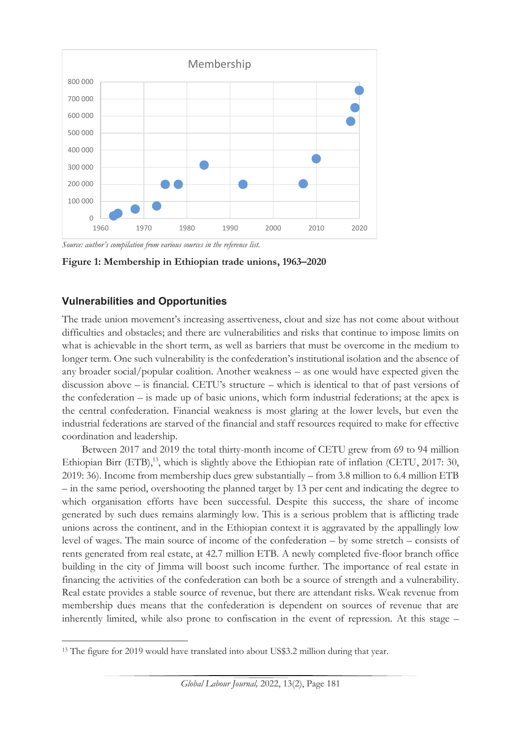

*Source: author's compilation from various sources in the reference list.* 

**Figure 1: Membership in Ethiopian trade unions, 1963–2020** 

### **Vulnerabilities and Opportunities**

The trade union movement's increasing assertiveness, clout and size has not come about without difficulties and obstacles; and there are vulnerabilities and risks that continue to impose limits on what is achievable in the short term, as well as barriers that must be overcome in the medium to longer term. One such vulnerability is the confederation's institutional isolation and the absence of any broader social/popular coalition. Another weakness – as one would have expected given the discussion above – is financial. CETU's structure – which is identical to that of past versions of the confederation – is made up of basic unions, which form industrial federations; at the apex is the central confederation. Financial weakness is most glaring at the lower levels, but even the industrial federations are starved of the financial and staff resources required to make for effective coordination and leadership.

Between 2017 and 2019 the total thirty-month income of CETU grew from 69 to 94 million Ethiopian Birr (ETB),<sup>13</sup>, which is slightly above the Ethiopian rate of inflation (CETU, 2017: 30, 2019: 36). Income from membership dues grew substantially – from 3.8 million to 6.4 million ETB – in the same period, overshooting the planned target by 13 per cent and indicating the degree to which organisation efforts have been successful. Despite this success, the share of income generated by such dues remains alarmingly low. This is a serious problem that is afflicting trade unions across the continent, and in the Ethiopian context it is aggravated by the appallingly low level of wages. The main source of income of the confederation – by some stretch – consists of rents generated from real estate, at 42.7 million ETB. A newly completed five-floor branch office building in the city of Jimma will boost such income further. The importance of real estate in financing the activities of the confederation can both be a source of strength and a vulnerability. Real estate provides a stable source of revenue, but there are attendant risks. Weak revenue from membership dues means that the confederation is dependent on sources of revenue that are inherently limited, while also prone to confiscation in the event of repression. At this stage –

<sup>&</sup>lt;sup>13</sup> The figure for 2019 would have translated into about US\$3.2 million during that year.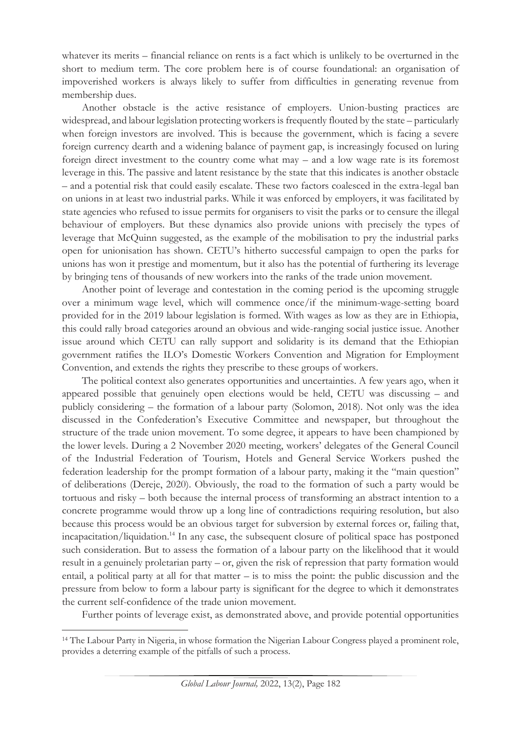whatever its merits – financial reliance on rents is a fact which is unlikely to be overturned in the short to medium term. The core problem here is of course foundational: an organisation of impoverished workers is always likely to suffer from difficulties in generating revenue from membership dues.

Another obstacle is the active resistance of employers. Union-busting practices are widespread, and labour legislation protecting workers is frequently flouted by the state – particularly when foreign investors are involved. This is because the government, which is facing a severe foreign currency dearth and a widening balance of payment gap, is increasingly focused on luring foreign direct investment to the country come what may – and a low wage rate is its foremost leverage in this. The passive and latent resistance by the state that this indicates is another obstacle – and a potential risk that could easily escalate. These two factors coalesced in the extra-legal ban on unions in at least two industrial parks. While it was enforced by employers, it was facilitated by state agencies who refused to issue permits for organisers to visit the parks or to censure the illegal behaviour of employers. But these dynamics also provide unions with precisely the types of leverage that McQuinn suggested, as the example of the mobilisation to pry the industrial parks open for unionisation has shown. CETU's hitherto successful campaign to open the parks for unions has won it prestige and momentum, but it also has the potential of furthering its leverage by bringing tens of thousands of new workers into the ranks of the trade union movement.

Another point of leverage and contestation in the coming period is the upcoming struggle over a minimum wage level, which will commence once/if the minimum-wage-setting board provided for in the 2019 labour legislation is formed. With wages as low as they are in Ethiopia, this could rally broad categories around an obvious and wide-ranging social justice issue. Another issue around which CETU can rally support and solidarity is its demand that the Ethiopian government ratifies the ILO's Domestic Workers Convention and Migration for Employment Convention, and extends the rights they prescribe to these groups of workers.

The political context also generates opportunities and uncertainties. A few years ago, when it appeared possible that genuinely open elections would be held, CETU was discussing – and publicly considering – the formation of a labour party (Solomon, 2018). Not only was the idea discussed in the Confederation's Executive Committee and newspaper, but throughout the structure of the trade union movement. To some degree, it appears to have been championed by the lower levels. During a 2 November 2020 meeting, workers' delegates of the General Council of the Industrial Federation of Tourism, Hotels and General Service Workers pushed the federation leadership for the prompt formation of a labour party, making it the "main question" of deliberations (Dereje, 2020). Obviously, the road to the formation of such a party would be tortuous and risky – both because the internal process of transforming an abstract intention to a concrete programme would throw up a long line of contradictions requiring resolution, but also because this process would be an obvious target for subversion by external forces or, failing that, incapacitation/liquidation.14 In any case, the subsequent closure of political space has postponed such consideration. But to assess the formation of a labour party on the likelihood that it would result in a genuinely proletarian party – or, given the risk of repression that party formation would entail, a political party at all for that matter – is to miss the point: the public discussion and the pressure from below to form a labour party is significant for the degree to which it demonstrates the current self-confidence of the trade union movement.

Further points of leverage exist, as demonstrated above, and provide potential opportunities

<sup>14</sup> The Labour Party in Nigeria, in whose formation the Nigerian Labour Congress played a prominent role, provides a deterring example of the pitfalls of such a process.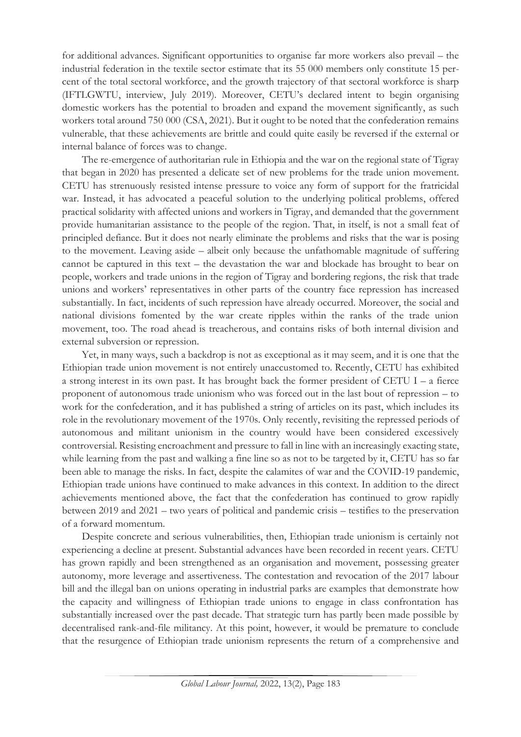for additional advances. Significant opportunities to organise far more workers also prevail – the industrial federation in the textile sector estimate that its 55 000 members only constitute 15 percent of the total sectoral workforce, and the growth trajectory of that sectoral workforce is sharp (IFTLGWTU, interview, July 2019). Moreover, CETU's declared intent to begin organising domestic workers has the potential to broaden and expand the movement significantly, as such workers total around 750 000 (CSA, 2021). But it ought to be noted that the confederation remains vulnerable, that these achievements are brittle and could quite easily be reversed if the external or internal balance of forces was to change.

The re-emergence of authoritarian rule in Ethiopia and the war on the regional state of Tigray that began in 2020 has presented a delicate set of new problems for the trade union movement. CETU has strenuously resisted intense pressure to voice any form of support for the fratricidal war. Instead, it has advocated a peaceful solution to the underlying political problems, offered practical solidarity with affected unions and workers in Tigray, and demanded that the government provide humanitarian assistance to the people of the region. That, in itself, is not a small feat of principled defiance. But it does not nearly eliminate the problems and risks that the war is posing to the movement. Leaving aside – albeit only because the unfathomable magnitude of suffering cannot be captured in this text – the devastation the war and blockade has brought to bear on people, workers and trade unions in the region of Tigray and bordering regions, the risk that trade unions and workers' representatives in other parts of the country face repression has increased substantially. In fact, incidents of such repression have already occurred. Moreover, the social and national divisions fomented by the war create ripples within the ranks of the trade union movement, too. The road ahead is treacherous, and contains risks of both internal division and external subversion or repression.

Yet, in many ways, such a backdrop is not as exceptional as it may seem, and it is one that the Ethiopian trade union movement is not entirely unaccustomed to. Recently, CETU has exhibited a strong interest in its own past. It has brought back the former president of CETU I – a fierce proponent of autonomous trade unionism who was forced out in the last bout of repression – to work for the confederation, and it has published a string of articles on its past, which includes its role in the revolutionary movement of the 1970s. Only recently, revisiting the repressed periods of autonomous and militant unionism in the country would have been considered excessively controversial. Resisting encroachment and pressure to fall in line with an increasingly exacting state, while learning from the past and walking a fine line so as not to be targeted by it, CETU has so far been able to manage the risks. In fact, despite the calamites of war and the COVID-19 pandemic, Ethiopian trade unions have continued to make advances in this context. In addition to the direct achievements mentioned above, the fact that the confederation has continued to grow rapidly between 2019 and 2021 – two years of political and pandemic crisis – testifies to the preservation of a forward momentum.

Despite concrete and serious vulnerabilities, then, Ethiopian trade unionism is certainly not experiencing a decline at present. Substantial advances have been recorded in recent years. CETU has grown rapidly and been strengthened as an organisation and movement, possessing greater autonomy, more leverage and assertiveness. The contestation and revocation of the 2017 labour bill and the illegal ban on unions operating in industrial parks are examples that demonstrate how the capacity and willingness of Ethiopian trade unions to engage in class confrontation has substantially increased over the past decade. That strategic turn has partly been made possible by decentralised rank-and-file militancy. At this point, however, it would be premature to conclude that the resurgence of Ethiopian trade unionism represents the return of a comprehensive and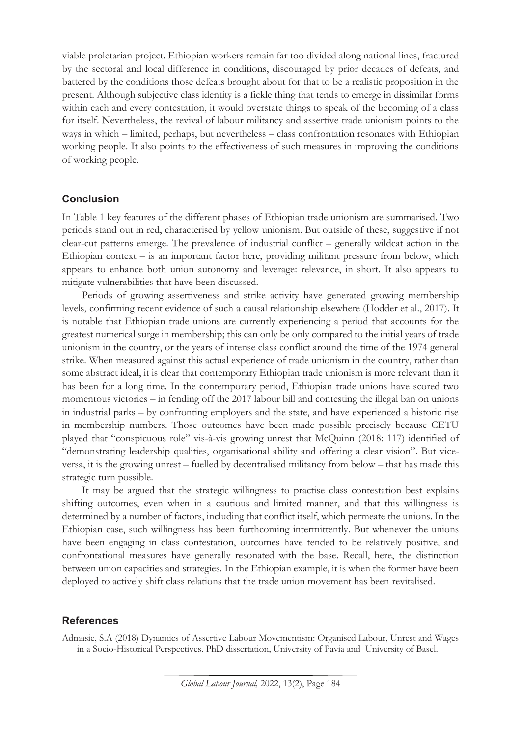viable proletarian project. Ethiopian workers remain far too divided along national lines, fractured by the sectoral and local difference in conditions, discouraged by prior decades of defeats, and battered by the conditions those defeats brought about for that to be a realistic proposition in the present. Although subjective class identity is a fickle thing that tends to emerge in dissimilar forms within each and every contestation, it would overstate things to speak of the becoming of a class for itself. Nevertheless, the revival of labour militancy and assertive trade unionism points to the ways in which – limited, perhaps, but nevertheless – class confrontation resonates with Ethiopian working people. It also points to the effectiveness of such measures in improving the conditions of working people.

# **Conclusion**

In Table 1 key features of the different phases of Ethiopian trade unionism are summarised. Two periods stand out in red, characterised by yellow unionism. But outside of these, suggestive if not clear-cut patterns emerge. The prevalence of industrial conflict – generally wildcat action in the Ethiopian context – is an important factor here, providing militant pressure from below, which appears to enhance both union autonomy and leverage: relevance, in short. It also appears to mitigate vulnerabilities that have been discussed.

Periods of growing assertiveness and strike activity have generated growing membership levels, confirming recent evidence of such a causal relationship elsewhere (Hodder et al., 2017). It is notable that Ethiopian trade unions are currently experiencing a period that accounts for the greatest numerical surge in membership; this can only be only compared to the initial years of trade unionism in the country, or the years of intense class conflict around the time of the 1974 general strike. When measured against this actual experience of trade unionism in the country, rather than some abstract ideal, it is clear that contemporary Ethiopian trade unionism is more relevant than it has been for a long time. In the contemporary period, Ethiopian trade unions have scored two momentous victories – in fending off the 2017 labour bill and contesting the illegal ban on unions in industrial parks – by confronting employers and the state, and have experienced a historic rise in membership numbers. Those outcomes have been made possible precisely because CETU played that "conspicuous role" vis-à-vis growing unrest that McQuinn (2018: 117) identified of "demonstrating leadership qualities, organisational ability and offering a clear vision". But viceversa, it is the growing unrest – fuelled by decentralised militancy from below – that has made this strategic turn possible.

It may be argued that the strategic willingness to practise class contestation best explains shifting outcomes, even when in a cautious and limited manner, and that this willingness is determined by a number of factors, including that conflict itself, which permeate the unions. In the Ethiopian case, such willingness has been forthcoming intermittently. But whenever the unions have been engaging in class contestation, outcomes have tended to be relatively positive, and confrontational measures have generally resonated with the base. Recall, here, the distinction between union capacities and strategies. In the Ethiopian example, it is when the former have been deployed to actively shift class relations that the trade union movement has been revitalised.

### **References**

Admasie, S.A (2018) Dynamics of Assertive Labour Movementism: Organised Labour, Unrest and Wages in a Socio-Historical Perspectives. PhD dissertation, University of Pavia and University of Basel.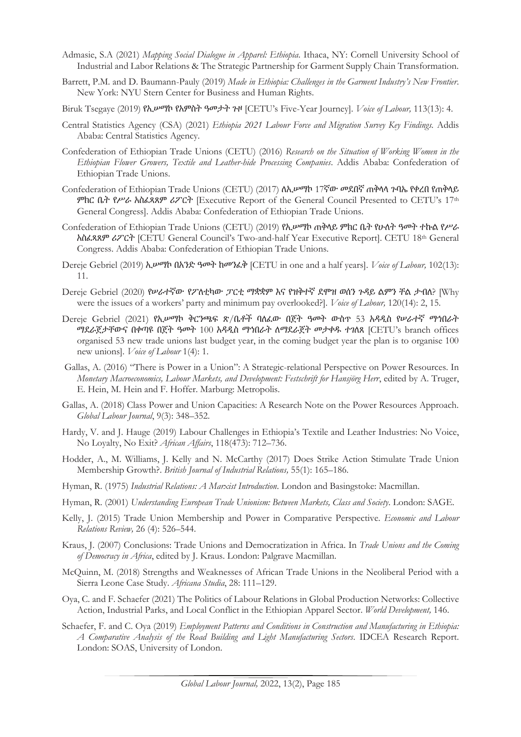- Admasie, S.A (2021) *Mapping Social Dialogue in Apparel: Ethiopia*. Ithaca, NY: Cornell University School of Industrial and Labor Relations & The Strategic Partnership for Garment Supply Chain Transformation.
- Barrett, P.M. and D. Baumann-Pauly (2019) *Made in Ethiopia: Challenges in the Garment Industry's New Frontier*. New York: NYU Stern Center for Business and Human Rights.
- Biruk Tsegaye (2019) የኢሠማኮ የአምስት ዓመታት ጉዞ [CETU's Five-Year Journey]. *Voice of Labour,* 113(13): 4.
- Central Statistics Agency (CSA) (2021) *Ethiopia 2021 Labour Force and Migration Survey Key Findings.* Addis Ababa: Central Statistics Agency.
- Confederation of Ethiopian Trade Unions (CETU) (2016) *Research on the Situation of Working Women in the Ethiopian Flower Growers, Textile and Leather-hide Processing Companies*. Addis Ababa: Confederation of Ethiopian Trade Unions.
- Confederation of Ethiopian Trade Unions (CETU) (2017) ለኢሠማኮ 17ኛው መደበኛ ጠቅላላ ጉባኤ የቀረበ የጠቅላይ ምክር ቤት የሥራ አስፈጻጸም ሪፖርት [Executive Report of the General Council Presented to CETU's 17th General Congress]. Addis Ababa: Confederation of Ethiopian Trade Unions.
- Confederation of Ethiopian Trade Unions (CETU) (2019) የኢሠማኮ ጠቅላይ ምክር ቤት የሁለት ዓመት ተኩል የሥራ አስፈጻጸም ሪፖርት [CETU General Council's Two-and-half Year Executive Report]. CETU 18th General Congress. Addis Ababa: Confederation of Ethiopian Trade Unions.
- Dereje Gebriel (2019) ኢሠማኮ በአንድ ዓመት ከመንፈቅ [CETU in one and a half years]. *Voice of Labour,* 102(13): 11.
- Dereje Gebriel (2020) የሠራተኛው የፖለቲካው ፓርቲ ማቋቋም እና የዝቅተኛ ደሞዝ ወሰን ጉዳይ ልምን ቸል ታብለ? [Why were the issues of a workers' party and minimum pay overlooked?]. *Voice of Labour,* 120(14): 2, 15.
- Dereje Gebriel (2021) የኢሠማኮ ቅርንጫፍ ጽ/ቤቶች ባለፈው በጀት ዓመት ውስጥ 53 አዳዲስ የሠራተኛ ማኅበራት ማደራጀታቸውና በቀጣዩ በጀት ዓመት 100 አዳዲስ ማኅበራት ለማደራጀት መታቀዱ ተገለጸ [CETU's branch offices organised 53 new trade unions last budget year, in the coming budget year the plan is to organise 100 new unions]. *Voice of Labour* 1(4): 1.
- Gallas, A. (2016) "There is Power in a Union": A Strategic-relational Perspective on Power Resources. In *Monetary Macroeconomics, Labour Markets, and Development: Festschrift for Hansjörg Herr*, edited by A. Truger, E. Hein, M. Hein and F. Hoffer. Marburg: Metropolis.
- Gallas, A. (2018) Class Power and Union Capacities: A Research Note on the Power Resources Approach. *Global Labour Journal*, 9(3): 348–352.
- Hardy, V. and J. Hauge (2019) Labour Challenges in Ethiopia's Textile and Leather Industries: No Voice, No Loyalty, No Exit? *African Affairs*, 118(473): 712–736.
- Hodder, A., M. Williams, J. Kelly and N. McCarthy (2017) Does Strike Action Stimulate Trade Union Membership Growth?. *British Journal of Industrial Relations,* 55(1): 165–186.
- Hyman, R. (1975) *Industrial Relations: A Marxist Introduction*. London and Basingstoke: Macmillan.
- Hyman, R. (2001) *Understanding European Trade Unionism: Between Markets, Class and Society*. London: SAGE.
- Kelly, J. (2015) Trade Union Membership and Power in Comparative Perspective. *Economic and Labour Relations Review,* 26 (4): 526–544.
- Kraus, J. (2007) Conclusions: Trade Unions and Democratization in Africa. In *Trade Unions and the Coming of Democracy in Africa*, edited by J. Kraus. London: Palgrave Macmillan.
- McQuinn, M. (2018) Strengths and Weaknesses of African Trade Unions in the Neoliberal Period with a Sierra Leone Case Study. *Africana Studia*, 28: 111–129.
- Oya, C. and F. Schaefer (2021) The Politics of Labour Relations in Global Production Networks: Collective Action, Industrial Parks, and Local Conflict in the Ethiopian Apparel Sector. *World Development,* 146.
- Schaefer, F. and C. Oya (2019) *Employment Patterns and Conditions in Construction and Manufacturing in Ethiopia: A Comparative Analysis of the Road Building and Light Manufacturing Sectors*. IDCEA Research Report. London: SOAS, University of London.